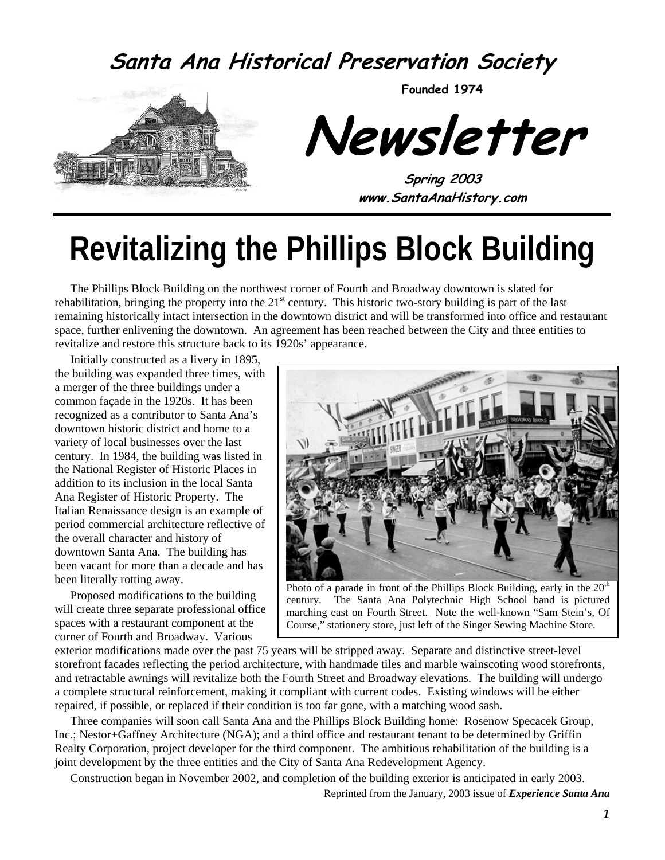### **Santa Ana Historical Preservation Society**



**Founded 1974** 

**Newsletter** 

**Spring 2003 www.SantaAnaHistory.com** 

# **Revitalizing the Phillips Block Building**

The Phillips Block Building on the northwest corner of Fourth and Broadway downtown is slated for rehabilitation, bringing the property into the  $21<sup>st</sup>$  century. This historic two-story building is part of the last remaining historically intact intersection in the downtown district and will be transformed into office and restaurant space, further enlivening the downtown. An agreement has been reached between the City and three entities to revitalize and restore this structure back to its 1920s' appearance.

Initially constructed as a livery in 1895, the building was expanded three times, with a merger of the three buildings under a common façade in the 1920s. It has been recognized as a contributor to Santa Ana's downtown historic district and home to a variety of local businesses over the last century. In 1984, the building was listed in the National Register of Historic Places in addition to its inclusion in the local Santa Ana Register of Historic Property. The Italian Renaissance design is an example of period commercial architecture reflective of the overall character and history of downtown Santa Ana. The building has been vacant for more than a decade and has been literally rotting away.

Proposed modifications to the building will create three separate professional office spaces with a restaurant component at the corner of Fourth and Broadway. Various



Photo of a parade in front of the Phillips Block Building, early in the  $20<sup>th</sup>$ century. The Santa Ana Polytechnic High School band is pictured marching east on Fourth Street. Note the well-known "Sam Stein's, Of Course," stationery store, just left of the Singer Sewing Machine Store.

exterior modifications made over the past 75 years will be stripped away. Separate and distinctive street-level storefront facades reflecting the period architecture, with handmade tiles and marble wainscoting wood storefronts, and retractable awnings will revitalize both the Fourth Street and Broadway elevations. The building will undergo a complete structural reinforcement, making it compliant with current codes. Existing windows will be either repaired, if possible, or replaced if their condition is too far gone, with a matching wood sash.

Three companies will soon call Santa Ana and the Phillips Block Building home: Rosenow Specacek Group, Inc.; Nestor+Gaffney Architecture (NGA); and a third office and restaurant tenant to be determined by Griffin Realty Corporation, project developer for the third component. The ambitious rehabilitation of the building is a joint development by the three entities and the City of Santa Ana Redevelopment Agency.

Construction began in November 2002, and completion of the building exterior is anticipated in early 2003.

Reprinted from the January, 2003 issue of *Experience Santa Ana*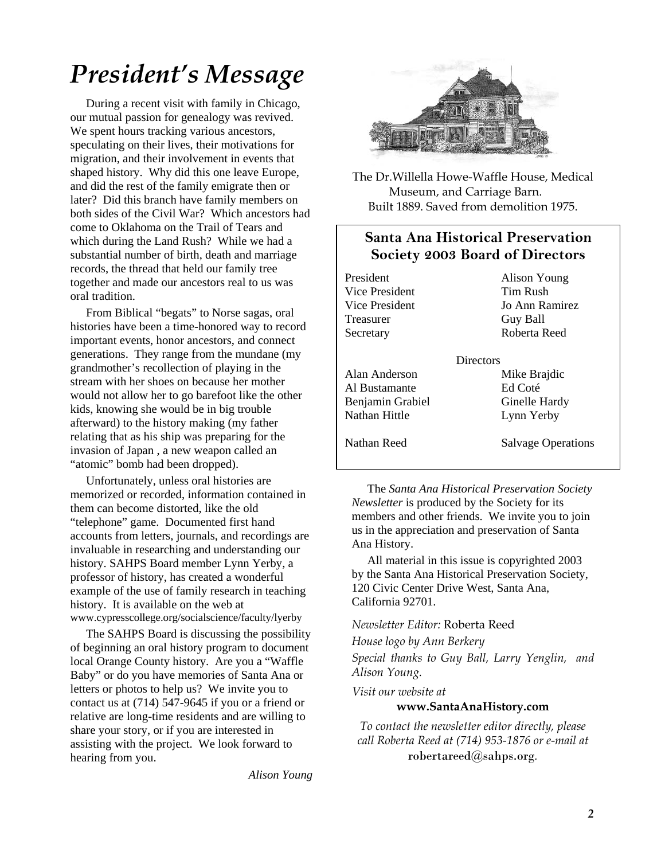# *President's Message*

During a recent visit with family in Chicago, our mutual passion for genealogy was revived. We spent hours tracking various ancestors, speculating on their lives, their motivations for migration, and their involvement in events that shaped history. Why did this one leave Europe, and did the rest of the family emigrate then or later? Did this branch have family members on both sides of the Civil War? Which ancestors had come to Oklahoma on the Trail of Tears and which during the Land Rush? While we had a substantial number of birth, death and marriage records, the thread that held our family tree together and made our ancestors real to us was oral tradition.

From Biblical "begats" to Norse sagas, oral histories have been a time-honored way to record important events, honor ancestors, and connect generations. They range from the mundane (my grandmother's recollection of playing in the stream with her shoes on because her mother would not allow her to go barefoot like the other kids, knowing she would be in big trouble afterward) to the history making (my father relating that as his ship was preparing for the invasion of Japan , a new weapon called an "atomic" bomb had been dropped).

Unfortunately, unless oral histories are memorized or recorded, information contained in them can become distorted, like the old "telephone" game. Documented first hand accounts from letters, journals, and recordings are invaluable in researching and understanding our history. SAHPS Board member Lynn Yerby, a professor of history, has created a wonderful example of the use of family research in teaching history. It is available on the web at www.cypresscollege.org/socialscience/faculty/lyerby

The SAHPS Board is discussing the possibility of beginning an oral history program to document local Orange County history. Are you a "Waffle Baby" or do you have memories of Santa Ana or letters or photos to help us? We invite you to contact us at (714) 547-9645 if you or a friend or relative are long-time residents and are willing to share your story, or if you are interested in assisting with the project. We look forward to hearing from you.

*Alison Young* 



The Dr.Willella Howe-Waffle House, Medical Museum, and Carriage Barn. Built 1889. Saved from demolition 1975.

#### **Santa Ana Historical Preservation Society 2003 Board of Directors**

President Alison Young Vice President Tim Rush Treasurer Guy Ball

Vice President Jo Ann Ramirez Secretary Roberta Reed

**Directors** Alan Anderson Mike Brajdic Al Bustamante Ed Coté Benjamin Grabiel Ginelle Hardy Nathan Hittle Lynn Yerby

Nathan Reed Salvage Operations

The *Santa Ana Historical Preservation Society Newsletter* is produced by the Society for its members and other friends. We invite you to join us in the appreciation and preservation of Santa Ana History.

All material in this issue is copyrighted 2003 by the Santa Ana Historical Preservation Society, 120 Civic Center Drive West, Santa Ana, California 92701.

*Newsletter Editor:* Roberta Reed

*House logo by Ann Berkery* 

*Special thanks to Guy Ball, Larry Yenglin, and Alison Young.* 

*Visit our website at* 

#### **www.SantaAnaHistory.com**

*To contact the newsletter editor directly, please call Roberta Reed at (714) 953-1876 or e-mail at*  robertareed@sahps.org*.*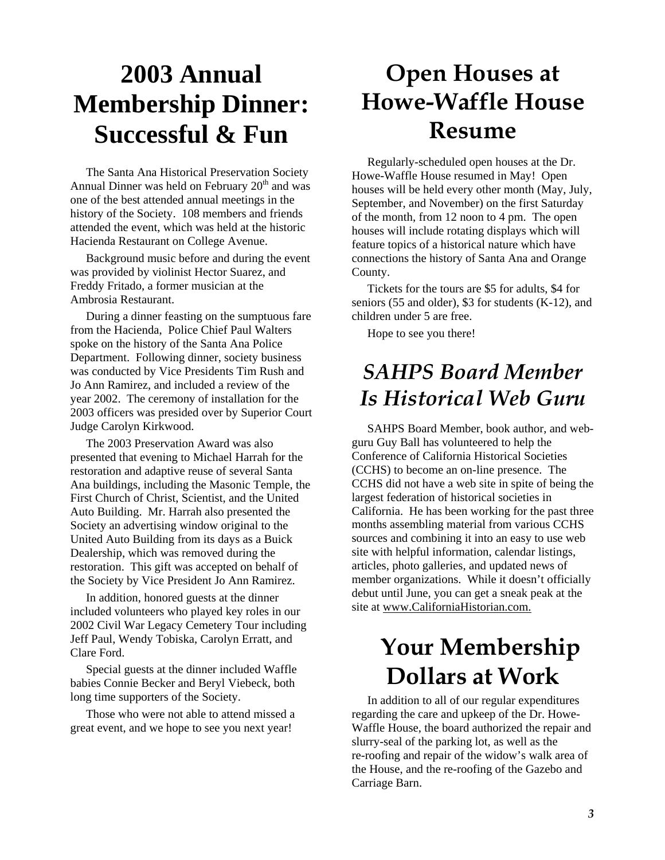## **2003 Annual Membership Dinner: Successful & Fun**

The Santa Ana Historical Preservation Society Annual Dinner was held on February  $20<sup>th</sup>$  and was one of the best attended annual meetings in the history of the Society. 108 members and friends attended the event, which was held at the historic Hacienda Restaurant on College Avenue.

Background music before and during the event was provided by violinist Hector Suarez, and Freddy Fritado, a former musician at the Ambrosia Restaurant.

During a dinner feasting on the sumptuous fare from the Hacienda, Police Chief Paul Walters spoke on the history of the Santa Ana Police Department. Following dinner, society business was conducted by Vice Presidents Tim Rush and Jo Ann Ramirez, and included a review of the year 2002. The ceremony of installation for the 2003 officers was presided over by Superior Court Judge Carolyn Kirkwood.

The 2003 Preservation Award was also presented that evening to Michael Harrah for the restoration and adaptive reuse of several Santa Ana buildings, including the Masonic Temple, the First Church of Christ, Scientist, and the United Auto Building. Mr. Harrah also presented the Society an advertising window original to the United Auto Building from its days as a Buick Dealership, which was removed during the restoration. This gift was accepted on behalf of the Society by Vice President Jo Ann Ramirez.

In addition, honored guests at the dinner included volunteers who played key roles in our 2002 Civil War Legacy Cemetery Tour including Jeff Paul, Wendy Tobiska, Carolyn Erratt, and Clare Ford.

Special guests at the dinner included Waffle babies Connie Becker and Beryl Viebeck, both long time supporters of the Society.

Those who were not able to attend missed a great event, and we hope to see you next year!

### **Open Houses at Howe-Waffle House Resume**

Regularly-scheduled open houses at the Dr. Howe-Waffle House resumed in May! Open houses will be held every other month (May, July, September, and November) on the first Saturday of the month, from 12 noon to 4 pm. The open houses will include rotating displays which will feature topics of a historical nature which have connections the history of Santa Ana and Orange County.

Tickets for the tours are \$5 for adults, \$4 for seniors (55 and older), \$3 for students (K-12), and children under 5 are free.

Hope to see you there!

### *SAHPS Board Member Is Historical Web Guru*

SAHPS Board Member, book author, and webguru Guy Ball has volunteered to help the Conference of California Historical Societies (CCHS) to become an on-line presence. The CCHS did not have a web site in spite of being the largest federation of historical societies in California. He has been working for the past three months assembling material from various CCHS sources and combining it into an easy to use web site with helpful information, calendar listings, articles, photo galleries, and updated news of member organizations. While it doesn't officially debut until June, you can get a sneak peak at the site at www.CaliforniaHistorian.com.

### **Your Membership Dollars at Work**

In addition to all of our regular expenditures regarding the care and upkeep of the Dr. Howe-Waffle House, the board authorized the repair and slurry-seal of the parking lot, as well as the re-roofing and repair of the widow's walk area of the House, and the re-roofing of the Gazebo and Carriage Barn.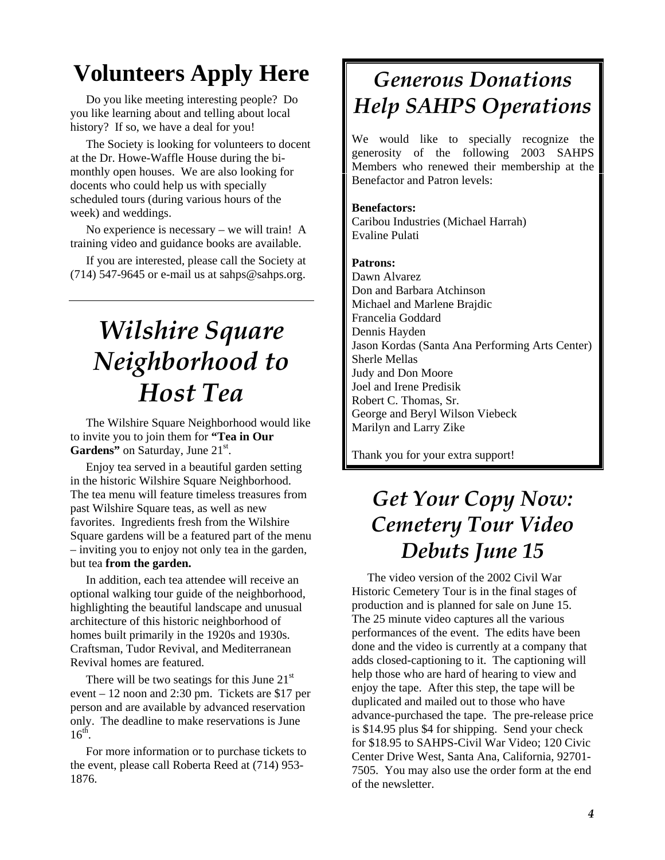### **Volunteers Apply Here**

Do you like meeting interesting people? Do you like learning about and telling about local history? If so, we have a deal for you!

The Society is looking for volunteers to docent at the Dr. Howe-Waffle House during the bimonthly open houses. We are also looking for docents who could help us with specially scheduled tours (during various hours of the week) and weddings.

No experience is necessary – we will train! A training video and guidance books are available.

If you are interested, please call the Society at (714) 547-9645 or e-mail us at sahps@sahps.org.

# *Wilshire Square Neighborhood to Host Tea*

The Wilshire Square Neighborhood would like to invite you to join them for **"Tea in Our**  Gardens" on Saturday, June 21<sup>st</sup>.

Enjoy tea served in a beautiful garden setting in the historic Wilshire Square Neighborhood. The tea menu will feature timeless treasures from past Wilshire Square teas, as well as new favorites. Ingredients fresh from the Wilshire Square gardens will be a featured part of the menu – inviting you to enjoy not only tea in the garden, but tea **from the garden.**

In addition, each tea attendee will receive an optional walking tour guide of the neighborhood, highlighting the beautiful landscape and unusual architecture of this historic neighborhood of homes built primarily in the 1920s and 1930s. Craftsman, Tudor Revival, and Mediterranean Revival homes are featured.

There will be two seatings for this June  $21<sup>st</sup>$ event – 12 noon and 2:30 pm. Tickets are \$17 per person and are available by advanced reservation only. The deadline to make reservations is June  $16^{th}$ .

For more information or to purchase tickets to the event, please call Roberta Reed at (714) 953- 1876.

### *Generous Donations Help SAHPS Operations*

We would like to specially recognize the generosity of the following 2003 SAHPS Members who renewed their membership at the Benefactor and Patron levels:

#### **Benefactors:**

Caribou Industries (Michael Harrah) Evaline Pulati

#### **Patrons:**

Dawn Alvarez Don and Barbara Atchinson Michael and Marlene Brajdic Francelia Goddard Dennis Hayden Jason Kordas (Santa Ana Performing Arts Center) Sherle Mellas Judy and Don Moore Joel and Irene Predisik Robert C. Thomas, Sr. George and Beryl Wilson Viebeck Marilyn and Larry Zike

Thank you for your extra support!

### *Get Your Copy Now: Cemetery Tour Video Debuts June 15*

The video version of the 2002 Civil War Historic Cemetery Tour is in the final stages of production and is planned for sale on June 15. The 25 minute video captures all the various performances of the event. The edits have been done and the video is currently at a company that adds closed-captioning to it. The captioning will help those who are hard of hearing to view and enjoy the tape. After this step, the tape will be duplicated and mailed out to those who have advance-purchased the tape. The pre-release price is \$14.95 plus \$4 for shipping. Send your check for \$18.95 to SAHPS-Civil War Video; 120 Civic Center Drive West, Santa Ana, California, 92701- 7505. You may also use the order form at the end of the newsletter.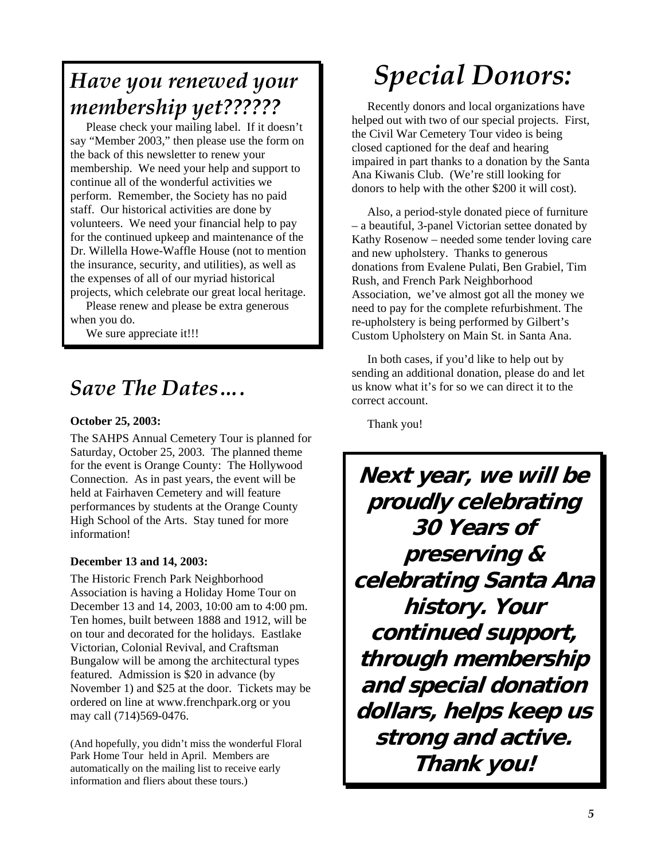### *Have you renewed your membership yet??????*

Please check your mailing label. If it doesn't say "Member 2003," then please use the form on the back of this newsletter to renew your membership. We need your help and support to continue all of the wonderful activities we perform. Remember, the Society has no paid staff. Our historical activities are done by volunteers. We need your financial help to pay for the continued upkeep and maintenance of the Dr. Willella Howe-Waffle House (not to mention the insurance, security, and utilities), as well as the expenses of all of our myriad historical projects, which celebrate our great local heritage.

Please renew and please be extra generous when you do.

We sure appreciate it!!!

### *Save The Dates….*

#### **October 25, 2003:**

The SAHPS Annual Cemetery Tour is planned for Saturday, October 25, 2003. The planned theme for the event is Orange County: The Hollywood Connection. As in past years, the event will be held at Fairhaven Cemetery and will feature performances by students at the Orange County High School of the Arts. Stay tuned for more information!

#### **December 13 and 14, 2003:**

The Historic French Park Neighborhood Association is having a Holiday Home Tour on December 13 and 14, 2003, 10:00 am to 4:00 pm. Ten homes, built between 1888 and 1912, will be on tour and decorated for the holidays. Eastlake Victorian, Colonial Revival, and Craftsman Bungalow will be among the architectural types featured. Admission is \$20 in advance (by November 1) and \$25 at the door. Tickets may be ordered on line at www.frenchpark.org or you may call (714)569-0476.

(And hopefully, you didn't miss the wonderful Floral Park Home Tour held in April. Members are automatically on the mailing list to receive early information and fliers about these tours.)

# *Special Donors:*

Recently donors and local organizations have helped out with two of our special projects. First, the Civil War Cemetery Tour video is being closed captioned for the deaf and hearing impaired in part thanks to a donation by the Santa Ana Kiwanis Club. (We're still looking for donors to help with the other \$200 it will cost).

Also, a period-style donated piece of furniture – a beautiful, 3-panel Victorian settee donated by Kathy Rosenow – needed some tender loving care and new upholstery. Thanks to generous donations from Evalene Pulati, Ben Grabiel, Tim Rush, and French Park Neighborhood Association, we've almost got all the money we need to pay for the complete refurbishment. The re-upholstery is being performed by Gilbert's Custom Upholstery on Main St. in Santa Ana.

In both cases, if you'd like to help out by sending an additional donation, please do and let us know what it's for so we can direct it to the correct account.

Thank you!

**Next year, we will be proudly celebrating 30 Years of preserving & celebrating Santa Ana history. Your continued support, through membership and special donation dollars, helps keep us strong and active. Thank you!**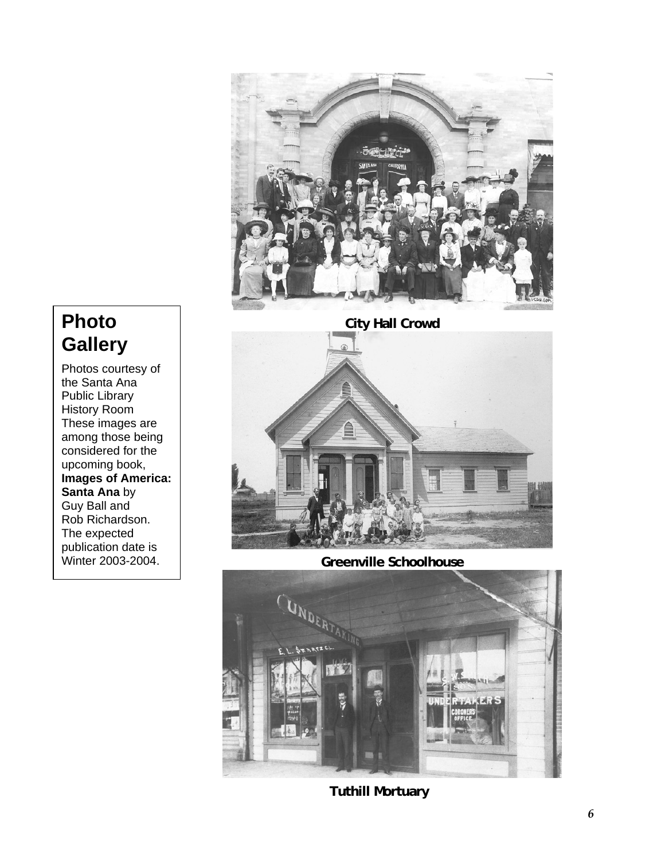

### **Photo Gallery**

Photos courtesy of the Santa Ana Public Library History Room These images are among those being considered for the upcoming book, **Images of America: Santa Ana** by Guy Ball and Rob Richardson. The expected publication date is Winter 2003-2004.



**Greenville Schoolhouse** 



 **Tuthill Mortuary**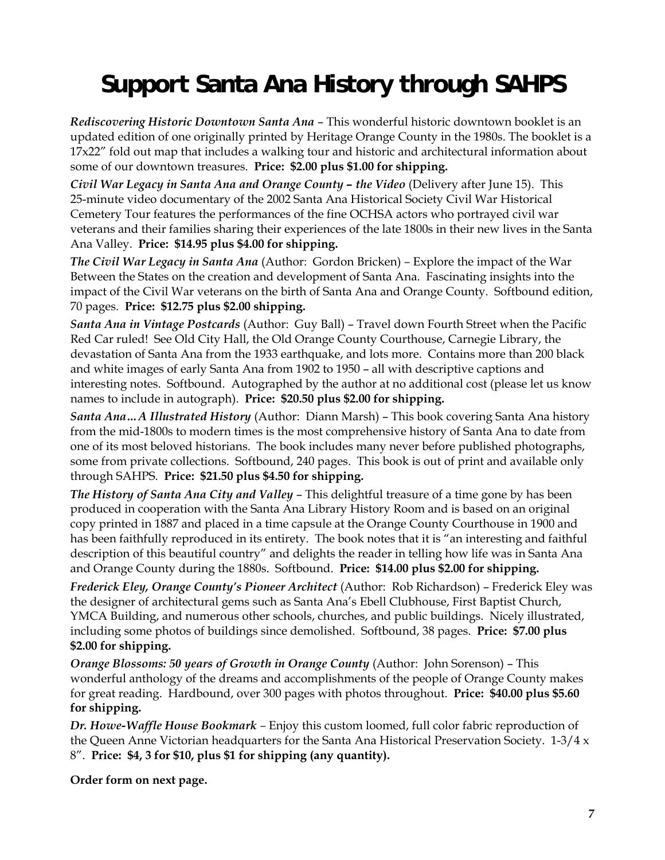# **Support Santa Ana History through SAHPS**

*Rediscovering Historic Downtown Santa Ana* – This wonderful historic downtown booklet is an updated edition of one originally printed by Heritage Orange County in the 1980s. The booklet is a 17x22" fold out map that includes a walking tour and historic and architectural information about some of our downtown treasures. **Price: \$2.00 plus \$1.00 for shipping.** 

*Civil War Legacy in Santa Ana and Orange County – the Video* (Delivery after June 15). This 25-minute video documentary of the 2002 Santa Ana Historical Society Civil War Historical Cemetery Tour features the performances of the fine OCHSA actors who portrayed civil war veterans and their families sharing their experiences of the late 1800s in their new lives in the Santa Ana Valley. **Price: \$14.95 plus \$4.00 for shipping.** 

*The Civil War Legacy in Santa Ana* (Author: Gordon Bricken) *–* Explore the impact of the War Between the States on the creation and development of Santa Ana. Fascinating insights into the impact of the Civil War veterans on the birth of Santa Ana and Orange County. Softbound edition, 70 pages. **Price: \$12.75 plus \$2.00 shipping.** 

*Santa Ana in Vintage Postcards* (Author: Guy Ball) – Travel down Fourth Street when the Pacific Red Car ruled! See Old City Hall, the Old Orange County Courthouse, Carnegie Library, the devastation of Santa Ana from the 1933 earthquake, and lots more. Contains more than 200 black and white images of early Santa Ana from 1902 to 1950 – all with descriptive captions and interesting notes. Softbound. Autographed by the author at no additional cost (please let us know names to include in autograph). **Price: \$20.50 plus \$2.00 for shipping.** 

*Santa Ana…A Illustrated History* (Author: Diann Marsh) – This book covering Santa Ana history from the mid-1800s to modern times is the most comprehensive history of Santa Ana to date from one of its most beloved historians. The book includes many never before published photographs, some from private collections. Softbound, 240 pages. This book is out of print and available only through SAHPS. **Price: \$21.50 plus \$4.50 for shipping.** 

*The History of Santa Ana City and Valley* – This delightful treasure of a time gone by has been produced in cooperation with the Santa Ana Library History Room and is based on an original copy printed in 1887 and placed in a time capsule at the Orange County Courthouse in 1900 and has been faithfully reproduced in its entirety. The book notes that it is "an interesting and faithful description of this beautiful country" and delights the reader in telling how life was in Santa Ana and Orange County during the 1880s. Softbound. **Price: \$14.00 plus \$2.00 for shipping.**

*Frederick Eley, Orange County's Pioneer Architect* (Author: Rob Richardson) – Frederick Eley was the designer of architectural gems such as Santa Ana's Ebell Clubhouse, First Baptist Church, YMCA Building, and numerous other schools, churches, and public buildings. Nicely illustrated, including some photos of buildings since demolished. Softbound, 38 pages. **Price: \$7.00 plus \$2.00 for shipping.** 

*Orange Blossoms: 50 years of Growth in Orange County* (Author: John Sorenson) – This wonderful anthology of the dreams and accomplishments of the people of Orange County makes for great reading. Hardbound, over 300 pages with photos throughout. **Price: \$40.00 plus \$5.60 for shipping.** 

*Dr. Howe-Waffle House Bookmark –* Enjoy this custom loomed, full color fabric reproduction of the Queen Anne Victorian headquarters for the Santa Ana Historical Preservation Society. 1-3/4 x 8". **Price: \$4, 3 for \$10, plus \$1 for shipping (any quantity).** 

**Order form on next page.**